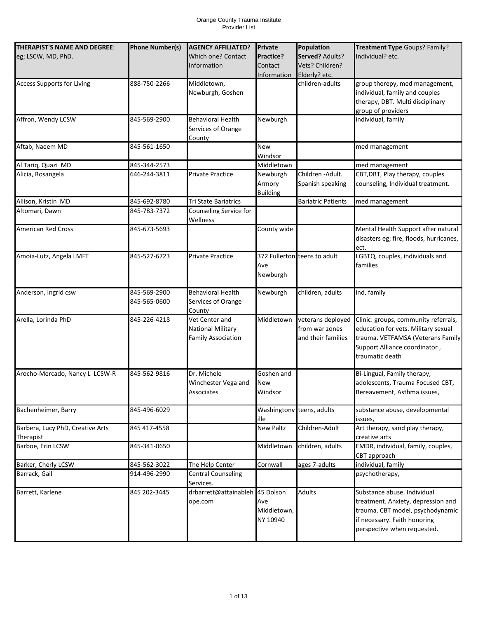| THERAPIST'S NAME AND DEGREE:      | <b>Phone Number(s)</b> | <b>AGENCY AFFILIATED?</b>       | <b>Private</b>     | Population                   | Treatment Type Goups? Family?           |
|-----------------------------------|------------------------|---------------------------------|--------------------|------------------------------|-----------------------------------------|
| eg; LSCW, MD, PhD.                |                        | Which one? Contact              | Practice?          | Served? Adults?              | Individual? etc.                        |
|                                   |                        | Information                     | Contact            | Vets? Children?              |                                         |
|                                   |                        |                                 |                    |                              |                                         |
|                                   |                        |                                 | <b>Information</b> | Elderly? etc.                |                                         |
| <b>Access Supports for Living</b> | 888-750-2266           | Middletown,                     |                    | children-adults              | group therepy, med management,          |
|                                   |                        | Newburgh, Goshen                |                    |                              | individual, family and couples          |
|                                   |                        |                                 |                    |                              | therapy, DBT. Multi disciplinary        |
|                                   |                        |                                 |                    |                              | group of providers                      |
| Affron, Wendy LCSW                | 845-569-2900           | <b>Behavioral Health</b>        | Newburgh           |                              | individual, family                      |
|                                   |                        | Services of Orange              |                    |                              |                                         |
|                                   |                        | County                          |                    |                              |                                         |
| Aftab, Naeem MD                   | 845-561-1650           |                                 | <b>New</b>         |                              | med management                          |
|                                   |                        |                                 | Windsor            |                              |                                         |
| Al Tariq, Quazi MD                | 845-344-2573           |                                 | Middletown         |                              | med management                          |
| Alicia, Rosangela                 | 646-244-3811           | Private Practice                | Newburgh           | Children - Adult.            | CBT, DBT, Play therapy, couples         |
|                                   |                        |                                 | Armory             | Spanish speaking             | counseling, Individual treatment.       |
|                                   |                        |                                 |                    |                              |                                         |
|                                   |                        |                                 | <b>Building</b>    |                              |                                         |
| Allison, Kristin MD               | 845-692-8780           | <b>Tri State Bariatrics</b>     |                    | <b>Bariatric Patients</b>    | med management                          |
| Altomari, Dawn                    | 845-783-7372           | Counseling Service for          |                    |                              |                                         |
|                                   |                        | Wellness                        |                    |                              |                                         |
| <b>American Red Cross</b>         | 845-673-5693           |                                 | County wide        |                              | Mental Health Support after natural     |
|                                   |                        |                                 |                    |                              | disasters eg; fire, floods, hurricanes, |
|                                   |                        |                                 |                    |                              | ect.                                    |
| Amoia-Lutz, Angela LMFT           | 845-527-6723           | <b>Private Practice</b>         |                    | 372 Fullerton teens to adult | LGBTQ, couples, individuals and         |
|                                   |                        |                                 | Ave                |                              | families                                |
|                                   |                        |                                 | Newburgh           |                              |                                         |
|                                   |                        |                                 |                    |                              |                                         |
| Anderson, Ingrid csw              | 845-569-2900           | <b>Behavioral Health</b>        | Newburgh           | children, adults             | ind, family                             |
|                                   |                        |                                 |                    |                              |                                         |
|                                   | 845-565-0600           | Services of Orange              |                    |                              |                                         |
|                                   |                        | County                          |                    |                              |                                         |
| Arella, Lorinda PhD               | 845-226-4218           | Vet Center and                  | Middletown         | veterans deployed            | Clinic: groups, community referrals,    |
|                                   |                        | <b>National Military</b>        |                    | from war zones               | education for vets. Military sexual     |
|                                   |                        | <b>Family Association</b>       |                    | and their families           | trauma. VETFAMSA (Veterans Family       |
|                                   |                        |                                 |                    |                              | Support Alliance coordinator,           |
|                                   |                        |                                 |                    |                              | traumatic death                         |
|                                   |                        |                                 |                    |                              |                                         |
| Arocho-Mercado, Nancy L LCSW-R    | 845-562-9816           | Dr. Michele                     | Goshen and         |                              | Bi-Lingual, Family therapy,             |
|                                   |                        | Winchester Vega and             | New                |                              | adolescents, Trauma Focused CBT,        |
|                                   |                        | Associates                      | Windsor            |                              | Bereavement, Asthma issues,             |
|                                   |                        |                                 |                    |                              |                                         |
| Bachenheimer, Barry               | 845-496-6029           |                                 |                    | Washingtony teens, adults    | substance abuse, developmental          |
|                                   |                        |                                 | ille               |                              | issues,                                 |
| Barbera, Lucy PhD, Creative Arts  | 845 417-4558           |                                 | <b>New Paltz</b>   | Children-Adult               | Art therapy, sand play therapy,         |
|                                   |                        |                                 |                    |                              |                                         |
| Therapist                         |                        |                                 |                    |                              | creative arts                           |
| Barboe, Erin LCSW                 | 845-341-0650           |                                 | Middletown         | children, adults             | EMDR, individual, family, couples,      |
|                                   |                        |                                 |                    |                              | CBT approach                            |
| Barker, Cherly LCSW               | 845-562-3022           | The Help Center                 | Cornwall           | ages 7-adults                | individual, family                      |
| Barrack, Gail                     | 914-496-2990           | <b>Central Counseling</b>       |                    |                              | psychotherapy,                          |
|                                   |                        | Services.                       |                    |                              |                                         |
| Barrett, Karlene                  | 845 202-3445           | drbarrett@attainableh 45 Dolson |                    | <b>Adults</b>                | Substance abuse. Individual             |
|                                   |                        | ope.com                         | Ave                |                              | treatment. Anxiety, depression and      |
|                                   |                        |                                 | Middletown,        |                              | trauma. CBT model, psychodynamic        |
|                                   |                        |                                 | NY 10940           |                              |                                         |
|                                   |                        |                                 |                    |                              | if necessary. Faith honoring            |
|                                   |                        |                                 |                    |                              | perspective when requested.             |
|                                   |                        |                                 |                    |                              |                                         |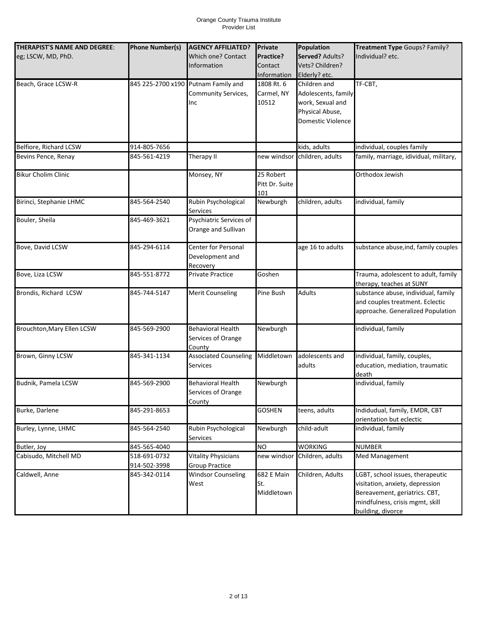| THERAPIST'S NAME AND DEGREE: | <b>Phone Number(s)</b> | <b>AGENCY AFFILIATED?</b>              | <b>Private</b>         | Population                    | Treatment Type Goups? Family?                        |
|------------------------------|------------------------|----------------------------------------|------------------------|-------------------------------|------------------------------------------------------|
| eg; LSCW, MD, PhD.           |                        | <b>Which one? Contact</b>              | Practice?              | Served? Adults?               | Individual? etc.                                     |
|                              |                        | Information                            | Contact<br>Information | Vets? Children?               |                                                      |
| Beach, Grace LCSW-R          | 845 225-2700 x190      | Putnam Family and                      | 1808 Rt. 6             | Elderly? etc.<br>Children and | TF-CBT,                                              |
|                              |                        | <b>Community Services,</b>             | Carmel, NY             | Adolescents, family           |                                                      |
|                              |                        | Inc                                    | 10512                  | work, Sexual and              |                                                      |
|                              |                        |                                        |                        | Physical Abuse,               |                                                      |
|                              |                        |                                        |                        | <b>Domestic Violence</b>      |                                                      |
|                              |                        |                                        |                        |                               |                                                      |
| Belfiore, Richard LCSW       | 914-805-7656           |                                        |                        | kids, adults                  | individual, couples family                           |
| Bevins Pence, Renay          | 845-561-4219           | Therapy II                             |                        | new windsor children, adults  | family, marriage, idividual, military,               |
|                              |                        |                                        |                        |                               |                                                      |
| <b>Bikur Cholim Clinic</b>   |                        | Monsey, NY                             | 25 Robert              |                               | Orthodox Jewish                                      |
|                              |                        |                                        | Pitt Dr. Suite         |                               |                                                      |
|                              |                        |                                        | 101                    |                               |                                                      |
| Birinci, Stephanie LHMC      | 845-564-2540           | Rubin Psychological<br><b>Services</b> | Newburgh               | children, adults              | individual, family                                   |
| Bouler, Sheila               | 845-469-3621           | Psychiatric Services of                |                        |                               |                                                      |
|                              |                        | Orange and Sullivan                    |                        |                               |                                                      |
|                              |                        |                                        |                        |                               |                                                      |
| Bove, David LCSW             | 845-294-6114           | Center for Personal                    |                        | age 16 to adults              | substance abuse, ind, family couples                 |
|                              |                        | Development and                        |                        |                               |                                                      |
|                              |                        | Recovery                               |                        |                               |                                                      |
| Bove, Liza LCSW              | 845-551-8772           | Private Practice                       | Goshen                 |                               | Trauma, adolescent to adult, family                  |
|                              |                        |                                        |                        |                               | therapy, teaches at SUNY                             |
| Brondis, Richard LCSW        | 845-744-5147           | <b>Merit Counseling</b>                | Pine Bush              | <b>Adults</b>                 | substance abuse, individual, family                  |
|                              |                        |                                        |                        |                               | and couples treatment. Eclectic                      |
|                              |                        |                                        |                        |                               | approache. Generalized Population                    |
| Brouchton, Mary Ellen LCSW   | 845-569-2900           | <b>Behavioral Health</b>               | Newburgh               |                               | individual, family                                   |
|                              |                        | Services of Orange                     |                        |                               |                                                      |
|                              |                        | County                                 |                        |                               |                                                      |
| Brown, Ginny LCSW            | 845-341-1134           | <b>Associated Counseling</b>           | Middletown             | adolescents and               | individual, family, couples,                         |
|                              |                        | Services                               |                        | adults                        | education, mediation, traumatic                      |
|                              |                        |                                        |                        |                               | death                                                |
| Budnik, Pamela LCSW          | 845-569-2900           | <b>Behavioral Health</b>               | Newburgh               |                               | individual, family                                   |
|                              |                        | Services of Orange                     |                        |                               |                                                      |
| Burke, Darlene               | 845-291-8653           | County                                 | <b>GOSHEN</b>          | teens, adults                 | Indidudual, family, EMDR, CBT                        |
|                              |                        |                                        |                        |                               | orientation but eclectic                             |
| Burley, Lynne, LHMC          | 845-564-2540           | Rubin Psychological                    | Newburgh               | child-adult                   | individual, family                                   |
|                              |                        | Services                               |                        |                               |                                                      |
| Butler, Joy                  | 845-565-4040           |                                        | NO                     | <b>WORKING</b>                | <b>NUMBER</b>                                        |
| Cabisudo, Mitchell MD        | 518-691-0732           | <b>Vitality Physicians</b>             |                        | new windsor Children, adults  | Med Management                                       |
|                              | 914-502-3998           | <b>Group Practice</b>                  |                        |                               |                                                      |
| Caldwell, Anne               | 845-342-0114           | <b>Windsor Counseling</b>              | $682 E$ Main           | Children, Adults              | LGBT, school issues, therapeutic                     |
|                              |                        | West                                   | St.                    |                               | visitation, anxiety, depression                      |
|                              |                        |                                        | Middletown             |                               | Bereavement, geriatrics. CBT,                        |
|                              |                        |                                        |                        |                               | mindfulness, crisis mgmt, skill<br>building, divorce |
|                              |                        |                                        |                        |                               |                                                      |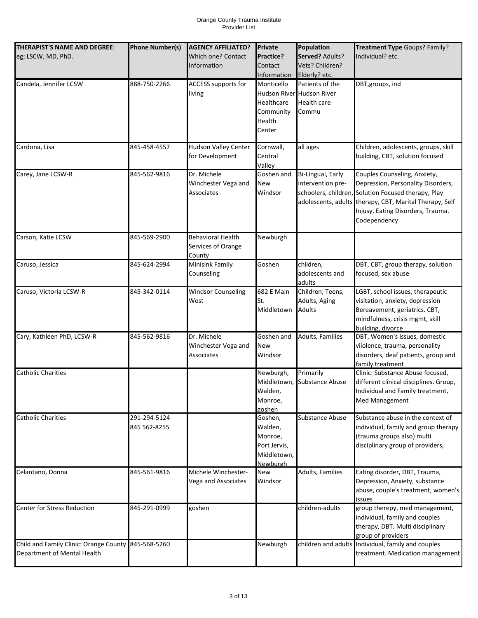| THERAPIST'S NAME AND DEGREE:<br>eg; LSCW, MD, PhD.                                 | <b>Phone Number(s)</b>       | <b>AGENCY AFFILIATED?</b><br><b>Which one? Contact</b>   | Private<br>Practice?                                                     | Population<br>Served? Adults?                                               | Treatment Type Goups? Family?<br>Individual? etc.                                                                                                                                                                                         |
|------------------------------------------------------------------------------------|------------------------------|----------------------------------------------------------|--------------------------------------------------------------------------|-----------------------------------------------------------------------------|-------------------------------------------------------------------------------------------------------------------------------------------------------------------------------------------------------------------------------------------|
|                                                                                    |                              | Information                                              | Contact<br>Information                                                   | Vets? Children?<br>Elderly? etc.                                            |                                                                                                                                                                                                                                           |
| Candela, Jennifer LCSW                                                             | 888-750-2266                 | ACCESS supports for<br>living                            | Monticello<br>Healthcare<br>Community<br>Health<br>Center                | Patients of the<br>Hudson River Hudson River<br><b>Health care</b><br>Commu | DBT, groups, ind                                                                                                                                                                                                                          |
| Cardona, Lisa                                                                      | 845-458-4557                 | <b>Hudson Valley Center</b><br>for Development           | Cornwall,<br>Central<br>Valley                                           | all ages                                                                    | Children, adolescents, groups, skill<br>building, CBT, solution focused                                                                                                                                                                   |
| Carey, Jane LCSW-R                                                                 | 845-562-9816                 | Dr. Michele<br>Winchester Vega and<br>Associates         | Goshen and<br>New<br>Windsor                                             | Bi-Lingual, Early<br>intervention pre-                                      | Couples Counseling, Anxiety,<br>Depression, Personality Disorders,<br>schoolers, children, Solution Focused therapy, Play<br>adolescents, adults therapy, CBT, Marital Therapy, Self<br>Injusy, Eating Disorders, Trauma.<br>Codependency |
| Carson, Katie LCSW                                                                 | 845-569-2900                 | <b>Behavioral Health</b><br>Services of Orange<br>County | Newburgh                                                                 |                                                                             |                                                                                                                                                                                                                                           |
| Caruso, Jessica                                                                    | 845-624-2994                 | Minisink Family<br>Counseling                            | Goshen                                                                   | children,<br>adolescents and<br>adults                                      | DBT, CBT, group therapy, solution<br>focused, sex abuse                                                                                                                                                                                   |
| Caruso, Victoria LCSW-R                                                            | 845-342-0114                 | <b>Windsor Counseling</b><br>West                        | 682 E Main<br>St.<br>Middletown                                          | Children, Teens,<br>Adults, Aging<br><b>Adults</b>                          | LGBT, school issues, therapeutic<br>visitation, anxiety, depression<br>Bereavement, geriatrics. CBT,<br>mindfulness, crisis mgmt, skill<br>building, divorce                                                                              |
| Cary, Kathleen PhD, LCSW-R                                                         | 845-562-9816                 | Dr. Michele<br>Winchester Vega and<br>Associates         | Goshen and<br>New<br>Windsor                                             | Adults, Families                                                            | DBT, Women's issues, domestic<br>viiolence, trauma, personality<br>disorders, deaf patients, group and<br>family treatment                                                                                                                |
| <b>Catholic Charities</b>                                                          |                              |                                                          | Newburgh,<br>Walden,<br>Monroe,<br>goshen                                | Primarily<br>Middletown, Substance Abuse                                    | Clinic: Substance Abuse focused,<br>different clinical disciplines. Group,<br>Individual and Family treatment,<br>Med Management                                                                                                          |
| <b>Catholic Charities</b>                                                          | 291-294-5124<br>845 562-8255 |                                                          | Goshen,<br>Walden,<br>Monroe,<br>Port Jervis,<br>Middletown,<br>Newburgh | Substance Abuse                                                             | Substance abuse in the context of<br>individual, family and group therapy<br>(trauma groups also) multi<br>disciplinary group of providers,                                                                                               |
| Celantano, Donna                                                                   | 845-561-9816                 | Michele Winchester-<br>Vega and Associates               | New<br>Windsor                                                           | Adults, Families                                                            | Eating disorder, DBT, Trauma,<br>Depression, Anxiety, substance<br>abuse, couple's treatment, women's<br>issues                                                                                                                           |
| <b>Center for Stress Reduction</b>                                                 | 845-291-0999                 | goshen                                                   |                                                                          | children-adults                                                             | group therepy, med management,<br>individual, family and couples<br>therapy, DBT. Multi disciplinary<br>group of providers                                                                                                                |
| Child and Family Clinic: Orange County 845-568-5260<br>Department of Mental Health |                              |                                                          | Newburgh                                                                 |                                                                             | children and adults Individual, family and couples<br>treatment. Medication management                                                                                                                                                    |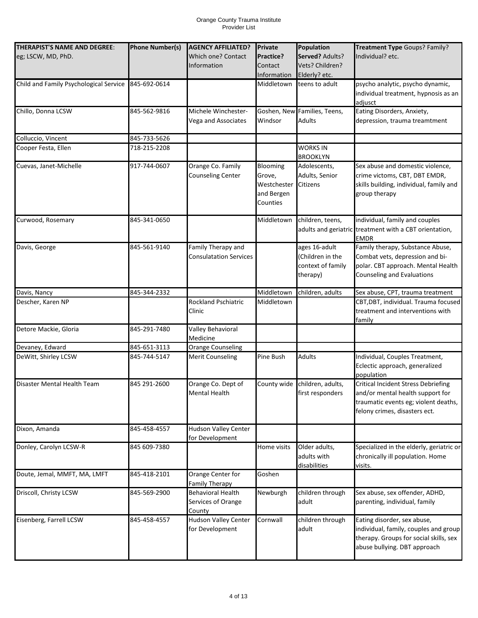| THERAPIST'S NAME AND DEGREE:<br>eg; LSCW, MD, PhD. | <b>Phone Number(s)</b> | <b>AGENCY AFFILIATED?</b><br>Which one? Contact<br>Information | <b>Private</b><br>Practice?<br>Contact<br>Information       | Population<br>Served? Adults?<br>Vets? Children?<br>Elderly? etc.  | Treatment Type Goups? Family?<br>Individual? etc.                                                                                                       |
|----------------------------------------------------|------------------------|----------------------------------------------------------------|-------------------------------------------------------------|--------------------------------------------------------------------|---------------------------------------------------------------------------------------------------------------------------------------------------------|
| Child and Family Psychological Service             | 845-692-0614           |                                                                | Middletown                                                  | teens to adult                                                     | psycho analytic, psycho dynamic,<br>individual treatment, hypnosis as an<br>adjusct                                                                     |
| Chillo, Donna LCSW                                 | 845-562-9816           | Michele Winchester-<br>Vega and Associates                     | Windsor                                                     | Goshen, New Families, Teens,<br>Adults                             | Eating Disorders, Anxiety,<br>depression, trauma treamtment                                                                                             |
| Colluccio, Vincent                                 | 845-733-5626           |                                                                |                                                             |                                                                    |                                                                                                                                                         |
| Cooper Festa, Ellen                                | 718-215-2208           |                                                                |                                                             | <b>WORKS IN</b><br><b>BROOKLYN</b>                                 |                                                                                                                                                         |
| Cuevas, Janet-Michelle                             | 917-744-0607           | Orange Co. Family<br><b>Counseling Center</b>                  | Blooming<br>Grove,<br>Westchester<br>and Bergen<br>Counties | Adolescents,<br>Adults, Senior<br><b>Citizens</b>                  | Sex abuse and domestic violence,<br>crime victoms, CBT, DBT EMDR,<br>skills building, individual, family and<br>group therapy                           |
| Curwood, Rosemary                                  | 845-341-0650           |                                                                | Middletown                                                  | children, teens,                                                   | individual, family and couples<br>adults and geriatric treatment with a CBT orientation,<br><b>EMDR</b>                                                 |
| Davis, George                                      | 845-561-9140           | Family Therapy and<br><b>Consulatation Services</b>            |                                                             | ages 16-adult<br>(Children in the<br>context of family<br>therapy) | Family therapy, Substance Abuse,<br>Combat vets, depression and bi-<br>polar. CBT approach. Mental Health<br>Counseling and Evaluations                 |
| Davis, Nancy                                       | 845-344-2332           |                                                                | Middletown                                                  | children, adults                                                   | Sex abuse, CPT, trauma treatment                                                                                                                        |
| Descher, Karen NP                                  |                        | Rockland Pschiatric<br>Clinic                                  | Middletown                                                  |                                                                    | CBT, DBT, individual. Trauma focused<br>treatment and interventions with<br>family                                                                      |
| Detore Mackie, Gloria                              | 845-291-7480           | Valley Behavioral<br>Medicine                                  |                                                             |                                                                    |                                                                                                                                                         |
| Devaney, Edward                                    | 845-651-3113           | <b>Orange Counseling</b>                                       |                                                             |                                                                    |                                                                                                                                                         |
| DeWitt, Shirley LCSW                               | 845-744-5147           | <b>Merit Counseling</b>                                        | Pine Bush                                                   | <b>Adults</b>                                                      | Individual, Couples Treatment,<br>Eclectic approach, generalized<br>population                                                                          |
| Disaster Mental Health Team                        | 845 291-2600           | Orange Co. Dept of<br><b>Mental Health</b>                     | County wide                                                 | children, adults,<br>first responders                              | <b>Critical Incident Stress Debriefing</b><br>and/or mental health support for<br>traumatic events eg; violent deaths,<br>felony crimes, disasters ect. |
| Dixon, Amanda                                      | 845-458-4557           | <b>Hudson Valley Center</b><br>for Development                 |                                                             |                                                                    |                                                                                                                                                         |
| Donley, Carolyn LCSW-R                             | 845 609-7380           |                                                                | Home visits                                                 | Older adults,<br>adults with<br>disabilities                       | Specialized in the elderly, geriatric or<br>chronically ill population. Home<br>visits.                                                                 |
| Doute, Jemal, MMFT, MA, LMFT                       | 845-418-2101           | Orange Center for<br><b>Family Therapy</b>                     | Goshen                                                      |                                                                    |                                                                                                                                                         |
| Driscoll, Christy LCSW                             | 845-569-2900           | <b>Behavioral Health</b><br>Services of Orange<br>County       | Newburgh                                                    | children through<br>adult                                          | Sex abuse, sex offender, ADHD,<br>parenting, individual, family                                                                                         |
| Eisenberg, Farrell LCSW                            | 845-458-4557           | <b>Hudson Valley Center</b><br>for Development                 | Cornwall                                                    | children through<br>adult                                          | Eating disorder, sex abuse,<br>individual, family, couples and group<br>therapy. Groups for social skills, sex<br>abuse bullying. DBT approach          |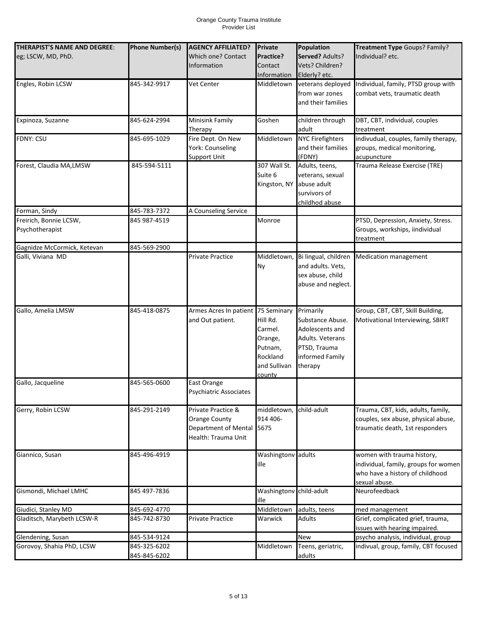| THERAPIST'S NAME AND DEGREE:<br>eg; LSCW, MD, PhD. | <b>Phone Number(s)</b>       | <b>AGENCY AFFILIATED?</b><br>Which one? Contact<br>Information                          | Private<br>Practice?<br>Contact<br>Information                                  | Population<br>Served? Adults?<br>Vets? Children?<br>Elderly? etc.                                                  | Treatment Type Goups? Family?<br>Individual? etc.                                                                      |
|----------------------------------------------------|------------------------------|-----------------------------------------------------------------------------------------|---------------------------------------------------------------------------------|--------------------------------------------------------------------------------------------------------------------|------------------------------------------------------------------------------------------------------------------------|
| Engles, Robin LCSW                                 | 845-342-9917                 | <b>Vet Center</b>                                                                       | Middletown                                                                      | veterans deployed<br>from war zones<br>and their families                                                          | Individual, family, PTSD group with<br>combat vets, traumatic death                                                    |
| Expinoza, Suzanne                                  | 845-624-2994                 | Minisink Family<br>Therapy                                                              | Goshen                                                                          | children through<br>adult                                                                                          | DBT, CBT, individual, couples<br>treatment                                                                             |
| <b>FDNY: CSU</b>                                   | 845-695-1029                 | Fire Dept. On New<br>York: Counseling<br><b>Support Unit</b>                            | Middletown                                                                      | <b>NYC Firefighters</b><br>and their families<br>(FDNY)                                                            | indivudual, couples, family therapy,<br>groups, medical monitoring,<br>acupuncture                                     |
| Forest, Claudia MA, LMSW                           | 845-594-5111                 |                                                                                         | 307 Wall St.<br>Suite 6<br>Kingston, NY                                         | Adults, teens,<br>veterans, sexual<br>abuse adult<br>survivors of<br>childhod abuse                                | Trauma Release Exercise (TRE)                                                                                          |
| Forman, Sindy                                      | 845-783-7372                 | A Counseling Service                                                                    |                                                                                 |                                                                                                                    |                                                                                                                        |
| Freirich, Bonnie LCSW,<br>Psychotherapist          | 845 987-4519                 |                                                                                         | Monroe                                                                          |                                                                                                                    | PTSD, Depression, Anxiety, Stress.<br>Groups, workships, iindividual<br>treatment                                      |
| Gagnidze McCormick, Ketevan                        | 845-569-2900                 |                                                                                         |                                                                                 |                                                                                                                    |                                                                                                                        |
| Galli, Viviana MD                                  |                              | Private Practice                                                                        | Middletown,<br>Ny                                                               | Bi lingual, children<br>and adults. Vets,<br>sex abuse, child<br>abuse and neglect.                                | <b>Medication management</b>                                                                                           |
| Gallo, Amelia LMSW                                 | 845-418-0875                 | Armes Acres In patient 75 Seminary<br>and Out patient.                                  | Hill Rd.<br>Carmel.<br>Orange,<br>Putnam,<br>Rockland<br>and Sullivan<br>countv | Primarily<br>Substance Abuse.<br>Adolescents and<br>Adults. Veterans<br>PTSD, Trauma<br>informed Family<br>therapy | Group, CBT, CBT, Skill Building,<br>Motivational Interviewing, SBIRT                                                   |
| Gallo, Jacqueline                                  | 845-565-0600                 | East Orange<br>Psychiatric Associates                                                   |                                                                                 |                                                                                                                    |                                                                                                                        |
| Gerry, Robin LCSW                                  | 845-291-2149                 | Private Practice &<br>Orange County<br>Department of Mental 5675<br>Health: Trauma Unit | middletown,<br>914 406-                                                         | child-adult                                                                                                        | Trauma, CBT, kids, adults, family,<br>couples, sex abuse, physical abuse,<br>traumatic death, 1st responders           |
| Giannico, Susan                                    | 845-496-4919                 |                                                                                         | Washingtonv adults<br>ille                                                      |                                                                                                                    | women with trauma history,<br>individual, family, groups for women<br>who have a history of childhood<br>sexual abuse. |
| Gismondi, Michael LMHC                             | 845 497-7836                 |                                                                                         | Washingtonv<br>ille                                                             | child-adult                                                                                                        | Neurofeedback                                                                                                          |
| Giudici, Stanley MD                                | 845-692-4770                 |                                                                                         | Middletown                                                                      | adults, teens                                                                                                      | med management                                                                                                         |
| Gladitsch, Marybeth LCSW-R                         | 845-742-8730                 | <b>Private Practice</b>                                                                 | Warwick                                                                         | Adults                                                                                                             | Grief, complicated grief, trauma,<br>issues with hearing impaired.                                                     |
| Glendening, Susan                                  | 845-534-9124                 |                                                                                         |                                                                                 | New                                                                                                                | psycho analysis, individual, group                                                                                     |
| Gorovoy, Shahia PhD, LCSW                          | 845-325-6202<br>845-845-6202 |                                                                                         | Middletown                                                                      | Teens, geriatric,<br>adults                                                                                        | indivual, group, family, CBT focused                                                                                   |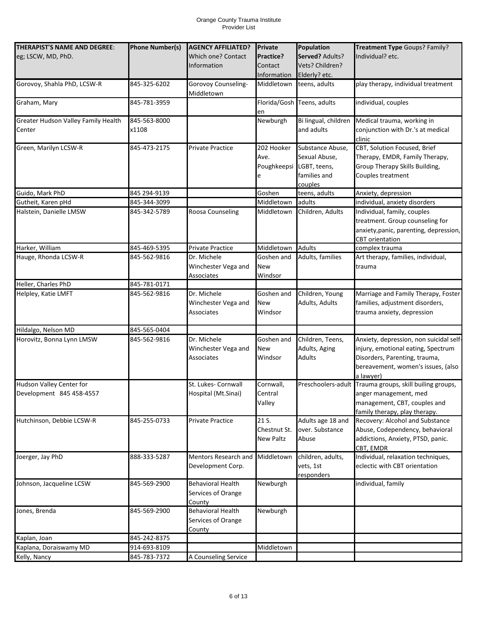| THERAPIST'S NAME AND DEGREE:           | <b>Phone Number(s)</b>       | <b>AGENCY AFFILIATED?</b>         | Private               | Population                           | Treatment Type Goups? Family?                                      |
|----------------------------------------|------------------------------|-----------------------------------|-----------------------|--------------------------------------|--------------------------------------------------------------------|
| eg; LSCW, MD, PhD.                     |                              | Which one? Contact                | Practice?             | Served? Adults?                      | Individual? etc.                                                   |
|                                        |                              | <b>Information</b>                | Contact               | Vets? Children?                      |                                                                    |
|                                        |                              |                                   | Information           | Elderly? etc.                        |                                                                    |
| Gorovoy, Shahla PhD, LCSW-R            | 845-325-6202                 | Gorovoy Counseling-<br>Middletown | Middletown            | teens, adults                        | play therapy, individual treatment                                 |
| Graham, Mary                           | 845-781-3959                 |                                   | en                    | Florida/Gosh Teens, adults           | individual, couples                                                |
| Greater Hudson Valley Family Health    | 845-563-8000                 |                                   | Newburgh              | Bi lingual, children                 | Medical trauma, working in                                         |
| Center                                 | x1108                        |                                   |                       | and adults                           | conjunction with Dr.'s at medical<br>clinic                        |
| Green, Marilyn LCSW-R                  | 845-473-2175                 | <b>Private Practice</b>           | 202 Hooker            | Substance Abuse,                     | CBT, Solution Focused, Brief                                       |
|                                        |                              |                                   | Ave.                  | Sexual Abuse,                        | Therapy, EMDR, Family Therapy,                                     |
|                                        |                              |                                   |                       | Poughkeepsi LGBT, teens,             | Group Therapy Skills Building,                                     |
|                                        |                              |                                   | e                     | families and                         | Couples treatment                                                  |
| Guido, Mark PhD                        | 845 294-9139                 |                                   | Goshen                | couples<br>teens, adults             | Anxiety, depression                                                |
| Gutheit, Karen pHd                     | 845-344-3099                 |                                   | Middletown            | adults                               | individual, anxiety disorders                                      |
| Halstein, Danielle LMSW                | 845-342-5789                 | Roosa Counseling                  | Middletown            | Children, Adults                     | Individual, family, couples                                        |
|                                        |                              |                                   |                       |                                      | treatment. Group counseling for                                    |
|                                        |                              |                                   |                       |                                      | anxiety, panic, parenting, depression,                             |
|                                        |                              |                                   |                       |                                      | <b>CBT</b> orientation                                             |
| Harker, William                        | 845-469-5395                 | Private Practice                  | Middletown            | <b>Adults</b>                        | complex trauma                                                     |
| Hauge, Rhonda LCSW-R                   | 845-562-9816                 | Dr. Michele                       | Goshen and            | Adults, families                     | Art therapy, families, individual,                                 |
|                                        |                              | Winchester Vega and               | New                   |                                      | trauma                                                             |
|                                        |                              | Associates                        | Windsor               |                                      |                                                                    |
| Heller, Charles PhD                    | 845-781-0171                 |                                   |                       |                                      |                                                                    |
| Helpley, Katie LMFT                    | 845-562-9816                 | Dr. Michele                       | Goshen and            | Children, Young                      | Marriage and Family Therapy, Foster                                |
|                                        |                              | Winchester Vega and               | New                   | Adults, Adults                       | families, adjustment disorders,                                    |
|                                        |                              | Associates                        | Windsor               |                                      | trauma anxiety, depression                                         |
| Hildalgo, Nelson MD                    | 845-565-0404                 |                                   |                       |                                      |                                                                    |
| Horovitz, Bonna Lynn LMSW              | 845-562-9816                 | Dr. Michele                       | Goshen and            | Children, Teens,                     | Anxiety, depression, non suicidal self-                            |
|                                        |                              | Winchester Vega and               | New                   | Adults, Aging                        | injury, emotional eating, Spectrum                                 |
|                                        |                              | Associates                        | Windsor               | <b>Adults</b>                        | Disorders, Parenting, trauma,                                      |
|                                        |                              |                                   |                       |                                      | bereavement, women's issues, (also                                 |
|                                        |                              |                                   |                       |                                      | a lawyer)                                                          |
| Hudson Valley Center for               |                              | St. Lukes- Cornwall               | Cornwall,             |                                      | Preschoolers-adult Trauma groups, skill builing groups,            |
| Development 845 458-4557               |                              | Hospital (Mt.Sinai)               | Central               |                                      | anger management, med                                              |
|                                        |                              |                                   | Valley                |                                      | management, CBT, couples and                                       |
|                                        |                              |                                   |                       |                                      | family therapy, play therapy.                                      |
| Hutchinson, Debbie LCSW-R              | 845-255-0733                 | Private Practice                  | 21 S.<br>Chestnut St. | Adults age 18 and<br>over. Substance | Recovery: Alcohol and Substance<br>Abuse, Codependency, behavioral |
|                                        |                              |                                   | <b>New Paltz</b>      | Abuse                                | addictions, Anxiety, PTSD, panic.                                  |
|                                        |                              |                                   |                       |                                      | CBT, EMDR                                                          |
| Joerger, Jay PhD                       | 888-333-5287                 | Mentors Research and              | Middletown            | children, adults,                    | Individual, relaxation techniques,                                 |
|                                        |                              | Development Corp.                 |                       | vets, 1st                            | eclectic with CBT orientation                                      |
|                                        |                              |                                   |                       | responders                           |                                                                    |
| Johnson, Jacqueline LCSW               | 845-569-2900                 | <b>Behavioral Health</b>          | Newburgh              |                                      | individual, family                                                 |
|                                        |                              | Services of Orange                |                       |                                      |                                                                    |
|                                        |                              | County                            |                       |                                      |                                                                    |
| Jones, Brenda                          | 845-569-2900                 | <b>Behavioral Health</b>          | Newburgh              |                                      |                                                                    |
|                                        |                              | Services of Orange                |                       |                                      |                                                                    |
|                                        |                              | County                            |                       |                                      |                                                                    |
| Kaplan, Joan<br>Kaplana, Doraiswamy MD | 845-242-8375<br>914-693-8109 |                                   | Middletown            |                                      |                                                                    |
| Kelly, Nancy                           | 845-783-7372                 | A Counseling Service              |                       |                                      |                                                                    |
|                                        |                              |                                   |                       |                                      |                                                                    |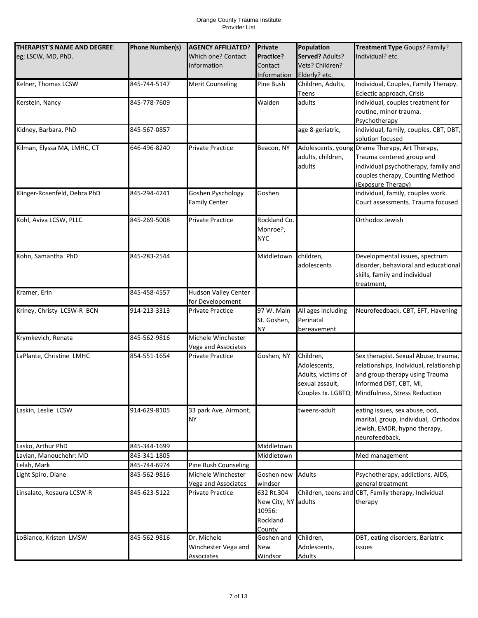| THERAPIST'S NAME AND DEGREE: | <b>Phone Number(s)</b> | <b>AGENCY AFFILIATED?</b> | <b>Private</b>      | Population         | Treatment Type Goups? Family?                       |
|------------------------------|------------------------|---------------------------|---------------------|--------------------|-----------------------------------------------------|
| eg; LSCW, MD, PhD.           |                        | Which one? Contact        | Practice?           | Served? Adults?    | Individual? etc.                                    |
|                              |                        | Information               | Contact             | Vets? Children?    |                                                     |
|                              |                        |                           | Information         | Elderly? etc.      |                                                     |
| Kelner, Thomas LCSW          | 845-744-5147           | <b>Merit Counseling</b>   | Pine Bush           | Children, Adults,  | Individual, Couples, Family Therapy.                |
|                              |                        |                           |                     | Teens              | Eclectic approach, Crisis                           |
| Kerstein, Nancy              | 845-778-7609           |                           | Walden              | adults             | individual, couples treatment for                   |
|                              |                        |                           |                     |                    | routine, minor trauma.                              |
|                              |                        |                           |                     |                    | Psychotherapy                                       |
| Kidney, Barbara, PhD         | 845-567-0857           |                           |                     | age 8-geriatric,   | individual, family, couples, CBT, DBT,              |
|                              |                        |                           |                     |                    | solution focused                                    |
| Kilman, Elyssa MA, LMHC, CT  | 646-496-8240           | Private Practice          | Beacon, NY          |                    | Adolescents, young Drama Therapy, Art Therapy,      |
|                              |                        |                           |                     | adults, children,  | Trauma centered group and                           |
|                              |                        |                           |                     | adults             | individual psychotherapy, family and                |
|                              |                        |                           |                     |                    | couples therapy, Counting Method                    |
|                              |                        |                           |                     |                    | (Exposure Therapy)                                  |
| Klinger-Rosenfeld, Debra PhD | 845-294-4241           | Goshen Pyschology         | Goshen              |                    | individual, family, couples work.                   |
|                              |                        | <b>Family Center</b>      |                     |                    | Court assessments. Trauma focused                   |
|                              |                        |                           |                     |                    |                                                     |
| Kohl, Aviva LCSW, PLLC       | 845-269-5008           | <b>Private Practice</b>   | Rockland Co.        |                    | Orthodox Jewish                                     |
|                              |                        |                           | Monroe?,            |                    |                                                     |
|                              |                        |                           | <b>NYC</b>          |                    |                                                     |
|                              |                        |                           |                     |                    |                                                     |
| Kohn, Samantha PhD           | 845-283-2544           |                           | Middletown          | children,          | Developmental issues, spectrum                      |
|                              |                        |                           |                     | adolescents        | disorder, behavioral and educational                |
|                              |                        |                           |                     |                    | skills, family and individual                       |
|                              |                        |                           |                     |                    | treatment,                                          |
| Kramer, Erin                 | 845-458-4557           | Hudson Valley Center      |                     |                    |                                                     |
|                              |                        | for Developoment          |                     |                    |                                                     |
| Kriney, Christy LCSW-R BCN   | 914-213-3313           | <b>Private Practice</b>   | 97 W. Main          | All ages including | Neurofeedback, CBT, EFT, Havening                   |
|                              |                        |                           | St. Goshen,         | Perinatal          |                                                     |
| Krymkevich, Renata           | 845-562-9816           | Michele Winchester        | <b>NY</b>           | bereavement        |                                                     |
|                              |                        | Vega and Associates       |                     |                    |                                                     |
| LaPlante, Christine LMHC     | 854-551-1654           | <b>Private Practice</b>   | Goshen, NY          | Children,          | Sex therapist. Sexual Abuse, trauma,                |
|                              |                        |                           |                     | Adolescents,       | relationships, Individual, relationship             |
|                              |                        |                           |                     | Adults, victims of | and group therapy using Trauma                      |
|                              |                        |                           |                     | sexual assault,    | Informed DBT, CBT, MI,                              |
|                              |                        |                           |                     |                    | Couples tx. LGBTQ Mindfulness, Stress Reduction     |
|                              |                        |                           |                     |                    |                                                     |
| Laskin, Leslie LCSW          | 914-629-8105           | 33 park Ave, Airmont,     |                     | tweens-adult       | eating issues, sex abuse, ocd,                      |
|                              |                        | <b>NY</b>                 |                     |                    | marital, group, individual, Orthodox                |
|                              |                        |                           |                     |                    | Jewish, EMDR, hypno therapy,                        |
|                              |                        |                           |                     |                    | neurofeedback,                                      |
| Lasko, Arthur PhD            | 845-344-1699           |                           | Middletown          |                    |                                                     |
| Lavian, Manouchehr: MD       | 845-341-1805           |                           | Middletown          |                    | Med management                                      |
| Lelah, Mark                  | 845-744-6974           | Pine Bush Counseling      |                     |                    |                                                     |
| Light Spiro, Diane           | 845-562-9816           | Michele Winchester        | Goshen new          | <b>Adults</b>      | Psychotherapy, addictions, AIDS,                    |
|                              |                        | Vega and Associates       | windsor             |                    | general treatment                                   |
| Linsalato, Rosaura LCSW-R    | 845-623-5122           | <b>Private Practice</b>   | 632 Rt.304          |                    | Children, teens and CBT, Family therapy, Individual |
|                              |                        |                           | New City, NY adults |                    | therapy                                             |
|                              |                        |                           | 10956:              |                    |                                                     |
|                              |                        |                           | Rockland            |                    |                                                     |
|                              |                        |                           | County              |                    |                                                     |
| LoBianco, Kristen LMSW       | 845-562-9816           | Dr. Michele               | Goshen and          | Children,          | DBT, eating disorders, Bariatric                    |
|                              |                        | Winchester Vega and       | New                 | Adolescents,       | issues                                              |
|                              |                        | Associates                | Windsor             | Adults             |                                                     |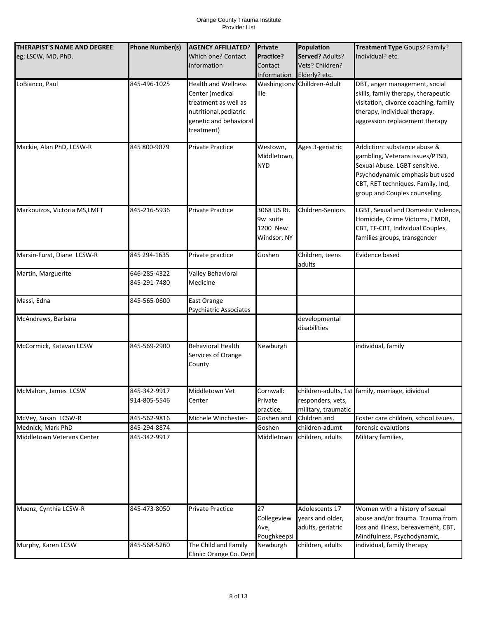| THERAPIST'S NAME AND DEGREE: | <b>Phone Number(s)</b>       | <b>AGENCY AFFILIATED?</b>                                                                                                               | <b>Private</b>                                     | Population                                              | Treatment Type Goups? Family?                                                                                                                                                                             |
|------------------------------|------------------------------|-----------------------------------------------------------------------------------------------------------------------------------------|----------------------------------------------------|---------------------------------------------------------|-----------------------------------------------------------------------------------------------------------------------------------------------------------------------------------------------------------|
| eg; LSCW, MD, PhD.           |                              | Which one? Contact<br>Information                                                                                                       | Practice?<br>Contact<br>Information                | Served? Adults?<br>Vets? Children?<br>Elderly? etc.     | Individual? etc.                                                                                                                                                                                          |
| LoBianco, Paul               | 845-496-1025                 | <b>Health and Wellness</b><br>Center (medical<br>treatment as well as<br>nutritional, pediatric<br>genetic and behavioral<br>treatment) | ille                                               | Washingtonv Chilldren-Adult                             | DBT, anger management, social<br>skills, family therapy, therapeutic<br>visitation, divorce coaching, family<br>therapy, individual therapy,<br>aggression replacement therapy                            |
| Mackie, Alan PhD, LCSW-R     | 845 800-9079                 | <b>Private Practice</b>                                                                                                                 | Westown,<br>Middletown,<br><b>NYD</b>              | Ages 3-geriatric                                        | Addiction: substance abuse &<br>gambling, Veterans issues/PTSD,<br>Sexual Abuse. LGBT sensitive.<br>Psychodynamic emphasis but used<br>CBT, RET techniques. Family, Ind,<br>group and Couples counseling. |
| Markouizos, Victoria MS,LMFT | 845-216-5936                 | <b>Private Practice</b>                                                                                                                 | 3068 US Rt.<br>9w suite<br>1200 New<br>Windsor, NY | Children-Seniors                                        | LGBT, Sexual and Domestic Violence,<br>Homicide, Crime Victoms, EMDR,<br>CBT, TF-CBT, Individual Couples,<br>families groups, transgender                                                                 |
| Marsin-Furst, Diane LCSW-R   | 845 294-1635                 | Private practice                                                                                                                        | Goshen                                             | Children, teens<br>adults                               | Evidence based                                                                                                                                                                                            |
| Martin, Marguerite           | 646-285-4322<br>845-291-7480 | Valley Behavioral<br>Medicine                                                                                                           |                                                    |                                                         |                                                                                                                                                                                                           |
| Massi, Edna                  | 845-565-0600                 | East Orange<br>Psychiatric Associates                                                                                                   |                                                    |                                                         |                                                                                                                                                                                                           |
| McAndrews, Barbara           |                              |                                                                                                                                         |                                                    | developmental<br>disabilities                           |                                                                                                                                                                                                           |
| McCormick, Katavan LCSW      | 845-569-2900                 | <b>Behavioral Health</b><br>Services of Orange<br>County                                                                                | Newburgh                                           |                                                         | individual, family                                                                                                                                                                                        |
| McMahon, James LCSW          | 845-342-9917<br>914-805-5546 | Middletown Vet<br>Center                                                                                                                | Cornwall:<br>Private<br>practice,                  | responders, vets,<br>military, traumatic                | children-adults, 1st family, marriage, idividual                                                                                                                                                          |
| McVey, Susan LCSW-R          | 845-562-9816                 | Michele Winchester-                                                                                                                     | Goshen and                                         | Children and                                            | Foster care children, school issues,                                                                                                                                                                      |
| Mednick, Mark PhD            | 845-294-8874                 |                                                                                                                                         | Goshen                                             | children-adumt                                          | forensic evalutions                                                                                                                                                                                       |
| Middletown Veterans Center   | 845-342-9917                 |                                                                                                                                         | Middletown                                         | children, adults                                        | Military families,                                                                                                                                                                                        |
| Muenz, Cynthia LCSW-R        | 845-473-8050                 | Private Practice                                                                                                                        | 27<br>Collegeview<br>Ave,<br>Poughkeepsi           | Adolescents 17<br>years and older,<br>adults, geriatric | Women with a history of sexual<br>abuse and/or trauma. Trauma from<br>loss and illness, bereavement, CBT,<br>Mindfulness, Psychodynamic,                                                                  |
| Murphy, Karen LCSW           | 845-568-5260                 | The Child and Family<br>Clinic: Orange Co. Dept                                                                                         | Newburgh                                           | children, adults                                        | individual, family therapy                                                                                                                                                                                |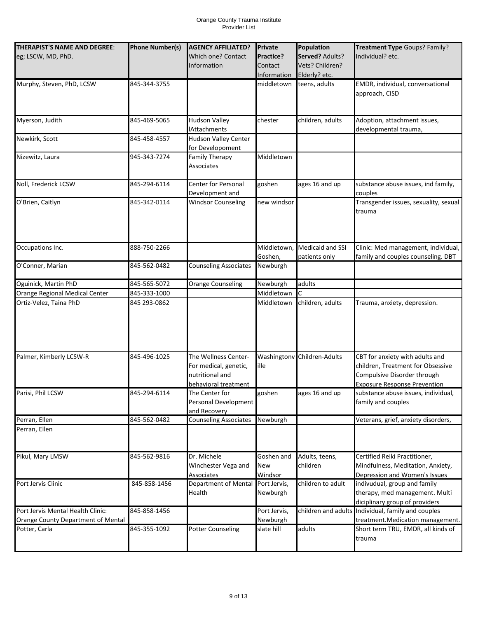| THERAPIST'S NAME AND DEGREE:       | <b>Phone Number(s)</b> | <b>AGENCY AFFILIATED?</b>          | Private        | Population                  | Treatment Type Goups? Family?                                      |
|------------------------------------|------------------------|------------------------------------|----------------|-----------------------------|--------------------------------------------------------------------|
| eg; LSCW, MD, PhD.                 |                        | <b>Which one? Contact</b>          | Practice?      | Served? Adults?             | Individual? etc.                                                   |
|                                    |                        | Information                        | Contact        | Vets? Children?             |                                                                    |
|                                    |                        |                                    | Information    | Elderly? etc.               |                                                                    |
| Murphy, Steven, PhD, LCSW          | 845-344-3755           |                                    | middletown     | teens, adults               | EMDR, individual, conversational                                   |
|                                    |                        |                                    |                |                             | approach, CISD                                                     |
|                                    |                        |                                    |                |                             |                                                                    |
| Myerson, Judith                    | 845-469-5065           | <b>Hudson Valley</b>               | chester        | children, adults            | Adoption, attachment issues,                                       |
|                                    |                        | <b>IAttachments</b>                |                |                             | developmental trauma,                                              |
| Newkirk, Scott                     | 845-458-4557           | Hudson Valley Center               |                |                             |                                                                    |
|                                    |                        | for Developoment                   |                |                             |                                                                    |
| Nizewitz, Laura                    | 945-343-7274           | <b>Family Therapy</b>              | Middletown     |                             |                                                                    |
|                                    |                        | Associates                         |                |                             |                                                                    |
|                                    |                        |                                    |                |                             |                                                                    |
| Noll, Frederick LCSW               | 845-294-6114           | <b>Center for Personal</b>         | goshen         | ages 16 and up              | substance abuse issues, ind family,                                |
|                                    |                        | Development and                    |                |                             | couples                                                            |
| O'Brien, Caitlyn                   | 845-342-0114           | <b>Windsor Counseling</b>          | new windsor    |                             | Transgender issues, sexuality, sexual                              |
|                                    |                        |                                    |                |                             | trauma                                                             |
|                                    |                        |                                    |                |                             |                                                                    |
|                                    |                        |                                    |                |                             |                                                                    |
| Occupations Inc.                   | 888-750-2266           |                                    | Middletown,    | Medicaid and SSI            | Clinic: Med management, individual,                                |
|                                    |                        |                                    | Goshen,        | patients only               | family and couples counseling. DBT                                 |
| O'Conner, Marian                   | 845-562-0482           | <b>Counseling Associates</b>       | Newburgh       |                             |                                                                    |
|                                    |                        |                                    |                |                             |                                                                    |
| Oguinick, Martin PhD               | 845-565-5072           | <b>Orange Counseling</b>           | Newburgh       | adults                      |                                                                    |
| Orange Regional Medical Center     | 845-333-1000           |                                    | Middletown     |                             |                                                                    |
| Ortiz-Velez, Taina PhD             | 845 293-0862           |                                    | Middletown     | children, adults            | Trauma, anxiety, depression.                                       |
|                                    |                        |                                    |                |                             |                                                                    |
|                                    |                        |                                    |                |                             |                                                                    |
|                                    |                        |                                    |                |                             |                                                                    |
|                                    |                        |                                    |                |                             |                                                                    |
| Palmer, Kimberly LCSW-R            | 845-496-1025           | The Wellness Center-               |                | Washingtonv Children-Adults | CBT for anxiety with adults and                                    |
|                                    |                        | For medical, genetic,              | ille           |                             | children, Treatment for Obsessive                                  |
|                                    |                        | nutritional and                    |                |                             | Compulsive Disorder through                                        |
|                                    |                        | behavioral treatment               |                |                             | <b>Exposure Response Prevention</b>                                |
| Parisi, Phil LCSW                  | 845-294-6114           | The Center for                     | goshen         | ages 16 and up              | substance abuse issues, individual,                                |
|                                    |                        | Personal Development               |                |                             | family and couples                                                 |
|                                    |                        | and Recovery                       |                |                             |                                                                    |
| Perran, Ellen                      | 845-562-0482           | <b>Counseling Associates</b>       | Newburgh       |                             | Veterans, grief, anxiety disorders,                                |
| Perran, Ellen                      |                        |                                    |                |                             |                                                                    |
|                                    |                        |                                    |                |                             |                                                                    |
|                                    |                        |                                    |                |                             |                                                                    |
| Pikul, Mary LMSW                   | 845-562-9816           | Dr. Michele<br>Winchester Vega and | Goshen and     | Adults, teens,<br>children  | Certified Reiki Practitioner,<br>Mindfulness, Meditation, Anxiety, |
|                                    |                        | Associates                         | New<br>Windsor |                             | Depression and Women's Issues                                      |
| Port Jervis Clinic                 | 845-858-1456           | Department of Mental               | Port Jervis,   | children to adult           | indivudual, group and family                                       |
|                                    |                        | Health                             | Newburgh       |                             | therapy, med management. Multi                                     |
|                                    |                        |                                    |                |                             | diciplinary group of providers                                     |
| Port Jervis Mental Health Clinic:  | 845-858-1456           |                                    | Port Jervis,   | children and adults         | Individual, family and couples                                     |
| Orange County Department of Mental |                        |                                    | Newburgh       |                             | treatment.Medication management.                                   |
| Potter, Carla                      | 845-355-1092           | <b>Potter Counseling</b>           | slate hill     | adults                      | Short term TRU, EMDR, all kinds of                                 |
|                                    |                        |                                    |                |                             | trauma                                                             |
|                                    |                        |                                    |                |                             |                                                                    |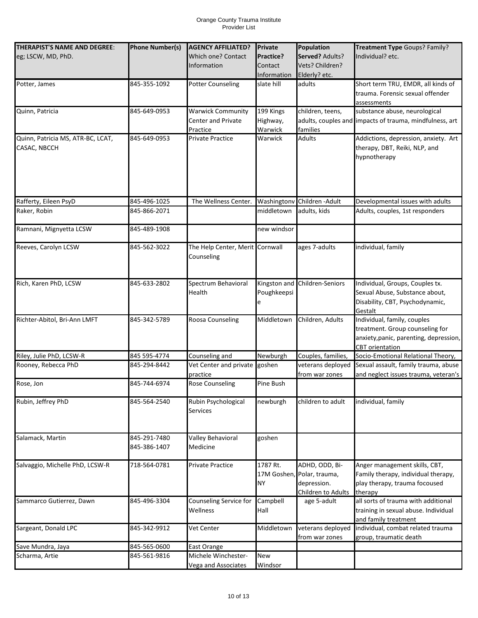| THERAPIST'S NAME AND DEGREE:      | <b>Phone Number(s)</b> | <b>AGENCY AFFILIATED?</b>       | <b>Private</b> | Population                    | Treatment Type Goups? Family?                                |
|-----------------------------------|------------------------|---------------------------------|----------------|-------------------------------|--------------------------------------------------------------|
| eg; LSCW, MD, PhD.                |                        | Which one? Contact              | Practice?      | Served? Adults?               | Individual? etc.                                             |
|                                   |                        | Information                     | Contact        | Vets? Children?               |                                                              |
|                                   |                        |                                 |                |                               |                                                              |
|                                   |                        |                                 | Information    | Elderly? etc.                 |                                                              |
| Potter, James                     | 845-355-1092           | <b>Potter Counseling</b>        | slate hill     | adults                        | Short term TRU, EMDR, all kinds of                           |
|                                   |                        |                                 |                |                               | trauma. Forensic sexual offender                             |
|                                   |                        |                                 |                |                               | assessments                                                  |
| Quinn, Patricia                   | 845-649-0953           | <b>Warwick Community</b>        | 199 Kings      | children, teens,              | substance abuse, neurological                                |
|                                   |                        | Center and Private              | Highway,       |                               | adults, couples and impacts of trauma, mindfulness, art      |
|                                   |                        | Practice                        | Warwick        | families                      |                                                              |
| Quinn, Patricia MS, ATR-BC, LCAT, | 845-649-0953           | Private Practice                | Warwick        | <b>Adults</b>                 | Addictions, depression, anxiety. Art                         |
| CASAC, NBCCH                      |                        |                                 |                |                               | therapy, DBT, Reiki, NLP, and                                |
|                                   |                        |                                 |                |                               | hypnotherapy                                                 |
|                                   |                        |                                 |                |                               |                                                              |
|                                   |                        |                                 |                |                               |                                                              |
|                                   |                        |                                 |                |                               |                                                              |
|                                   |                        |                                 |                |                               |                                                              |
| Rafferty, Eileen PsyD             | 845-496-1025           | The Wellness Center.            | Washingtonv    | Children - Adult              | Developmental issues with adults                             |
| Raker, Robin                      | 845-866-2071           |                                 | middletown     | adults, kids                  | Adults, couples, 1st responders                              |
|                                   |                        |                                 |                |                               |                                                              |
| Ramnani, Mignyetta LCSW           | 845-489-1908           |                                 | new windsor    |                               |                                                              |
|                                   |                        |                                 |                |                               |                                                              |
| Reeves, Carolyn LCSW              | 845-562-3022           | The Help Center, Merit Cornwall |                | ages 7-adults                 | individual, family                                           |
|                                   |                        | Counseling                      |                |                               |                                                              |
|                                   |                        |                                 |                |                               |                                                              |
|                                   |                        |                                 |                |                               |                                                              |
| Rich, Karen PhD, LCSW             | 845-633-2802           | Spectrum Behavioral             |                | Kingston and Children-Seniors | Individual, Groups, Couples tx.                              |
|                                   |                        | Health                          | Poughkeepsi    |                               | Sexual Abuse, Substance about,                               |
|                                   |                        |                                 |                |                               | Disability, CBT, Psychodynamic,                              |
|                                   |                        |                                 | е              |                               | Gestalt                                                      |
| Richter-Abitol, Bri-Ann LMFT      | 845-342-5789           | Roosa Counseling                | Middletown     | Children, Adults              | Individual, family, couples                                  |
|                                   |                        |                                 |                |                               | treatment. Group counseling for                              |
|                                   |                        |                                 |                |                               |                                                              |
|                                   |                        |                                 |                |                               | anxiety, panic, parenting, depression,                       |
| Riley, Julie PhD, LCSW-R          | 845 595-4774           | Counseling and                  | Newburgh       | Couples, families,            | <b>CBT</b> orientation<br>Socio-Emotional Relational Theory, |
|                                   |                        |                                 |                |                               |                                                              |
| Rooney, Rebecca PhD               | 845-294-8442           | Vet Center and private          | goshen         | veterans deployed             | Sexual assault, family trauma, abuse                         |
|                                   |                        | practice                        |                | from war zones                | and neglect issues trauma, veteran's                         |
| Rose, Jon                         | 845-744-6974           | <b>Rose Counseling</b>          | Pine Bush      |                               |                                                              |
| Rubin, Jeffrey PhD                |                        |                                 |                | children to adult             |                                                              |
|                                   | 845-564-2540           | Rubin Psychological             | newburgh       |                               | individual, family                                           |
|                                   |                        | Services                        |                |                               |                                                              |
|                                   |                        |                                 |                |                               |                                                              |
|                                   |                        |                                 |                |                               |                                                              |
| Salamack, Martin                  | 845-291-7480           | Valley Behavioral               | goshen         |                               |                                                              |
|                                   | 845-386-1407           | Medicine                        |                |                               |                                                              |
|                                   |                        |                                 |                |                               |                                                              |
| Salvaggio, Michelle PhD, LCSW-R   | 718-564-0781           | <b>Private Practice</b>         | 1787 Rt.       | ADHD, ODD, Bi-                | Anger management skills, CBT,                                |
|                                   |                        |                                 |                | 17M Goshen, Polar, trauma,    | Family therapy, individual therapy,                          |
|                                   |                        |                                 | <b>NY</b>      | depression.                   | play therapy, trauma focoused                                |
|                                   |                        |                                 |                | Children to Adults            | therapy                                                      |
| Sammarco Gutierrez, Dawn          | 845-496-3304           | Counseling Service for          | Campbell       | age 5-adult                   | all sorts of trauma with additional                          |
|                                   |                        | Wellness                        | Hall           |                               | training in sexual abuse. Individual                         |
|                                   |                        |                                 |                |                               | and family treatment                                         |
| Sargeant, Donald LPC              | 845-342-9912           | Vet Center                      | Middletown     | veterans deployed             | individual, combat related trauma                            |
|                                   |                        |                                 |                | from war zones                | group, traumatic death                                       |
| Save Mundra, Jaya                 | 845-565-0600           | East Orange                     |                |                               |                                                              |
| Scharma, Artie                    | 845-561-9816           | Michele Winchester-             | New            |                               |                                                              |
|                                   |                        | Vega and Associates             | Windsor        |                               |                                                              |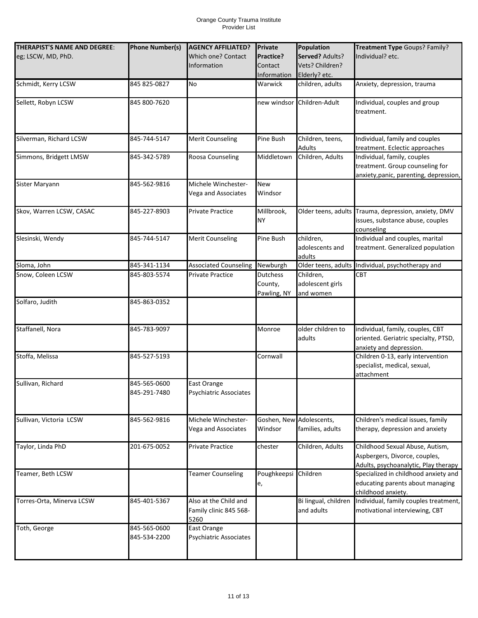| THERAPIST'S NAME AND DEGREE:<br>eg; LSCW, MD, PhD. | <b>Phone Number(s)</b>       | <b>AGENCY AFFILIATED?</b><br>Which one? Contact         | <b>Private</b><br>Practice?               | Population<br>Served? Adults?              | Treatment Type Goups? Family?<br>Individual? etc.                                                        |
|----------------------------------------------------|------------------------------|---------------------------------------------------------|-------------------------------------------|--------------------------------------------|----------------------------------------------------------------------------------------------------------|
|                                                    |                              | <b>Information</b>                                      | Contact<br>Information                    | Vets? Children?<br>Elderly? etc.           |                                                                                                          |
| Schmidt, Kerry LCSW                                | 845 825-0827                 | <b>No</b>                                               | Warwick                                   | children, adults                           | Anxiety, depression, trauma                                                                              |
| Sellett, Robyn LCSW                                | 845 800-7620                 |                                                         |                                           | new windsor Children-Adult                 | Individual, couples and group<br>treatment.                                                              |
| Silverman, Richard LCSW                            | 845-744-5147                 | <b>Merit Counseling</b>                                 | Pine Bush                                 | Children, teens,<br>Adults                 | Individual, family and couples<br>treatment. Eclectic approaches                                         |
| Simmons, Bridgett LMSW                             | 845-342-5789                 | Roosa Counseling                                        | Middletown                                | Children, Adults                           | Individual, family, couples<br>treatment. Group counseling for<br>anxiety, panic, parenting, depression, |
| Sister Maryann                                     | 845-562-9816                 | Michele Winchester-<br>Vega and Associates              | <b>New</b><br>Windsor                     |                                            |                                                                                                          |
| Skov, Warren LCSW, CASAC                           | 845-227-8903                 | Private Practice                                        | Millbrook,<br><b>NY</b>                   | Older teens, adults                        | Trauma, depression, anxiety, DMV<br>issues, substance abuse, couples<br>counseling                       |
| Slesinski, Wendy                                   | 845-744-5147                 | <b>Merit Counseling</b>                                 | Pine Bush                                 | children.<br>adolescents and<br>adults     | Individual and couples, marital<br>treatment. Generalized population                                     |
| Sloma, John                                        | 845-341-1134                 | <b>Associated Counseling</b>                            | Newburgh                                  | Older teens, adults                        | Individual, psychotherapy and                                                                            |
| Snow, Coleen LCSW                                  | 845-803-5574                 | Private Practice                                        | <b>Dutchess</b><br>County,<br>Pawling, NY | Children,<br>adolescent girls<br>and women | <b>CBT</b>                                                                                               |
| Solfaro, Judith                                    | 845-863-0352                 |                                                         |                                           |                                            |                                                                                                          |
| Staffanell, Nora                                   | 845-783-9097                 |                                                         | Monroe                                    | older children to<br>adults                | individual, family, couples, CBT<br>oriented. Geriatric specialty, PTSD,<br>anxiety and depression.      |
| Stoffa, Melissa                                    | 845-527-5193                 |                                                         | Cornwall                                  |                                            | Children 0-13, early intervention<br>specialist, medical, sexual,<br>attachment                          |
| Sullivan, Richard                                  | 845-565-0600<br>845-291-7480 | East Orange<br>Psychiatric Associates                   |                                           |                                            |                                                                                                          |
| Sullivan, Victoria LCSW                            | 845-562-9816                 | Michele Winchester-<br>Vega and Associates              | Goshen, New Adolescents,<br>Windsor       | families, adults                           | Children's medical issues, family<br>therapy, depression and anxiety                                     |
| Taylor, Linda PhD                                  | 201-675-0052                 | <b>Private Practice</b>                                 | chester                                   | Children, Adults                           | Childhood Sexual Abuse, Autism,<br>Aspbergers, Divorce, couples,<br>Adults, psychoanalytic, Play therapy |
| Teamer, Beth LCSW                                  |                              | <b>Teamer Counseling</b>                                | Poughkeepsi Children<br>e,                |                                            | Specialized in childhood anxiety and<br>educating parents about managing<br>childhood anxiety.           |
| Torres-Orta, Minerva LCSW                          | 845-401-5367                 | Also at the Child and<br>Family clinic 845 568-<br>5260 |                                           | Bi lingual, children<br>and adults         | Individual, family couples treatment,<br>motivational interviewing, CBT                                  |
| Toth, George                                       | 845-565-0600<br>845-534-2200 | East Orange<br>Psychiatric Associates                   |                                           |                                            |                                                                                                          |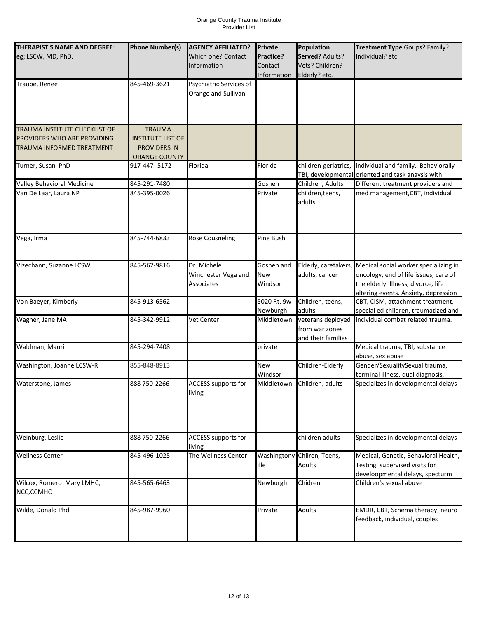| THERAPIST'S NAME AND DEGREE:  | <b>Phone Number(s)</b>   | <b>AGENCY AFFILIATED?</b>  | Private     | Population                  | Treatment Type Goups? Family?                     |
|-------------------------------|--------------------------|----------------------------|-------------|-----------------------------|---------------------------------------------------|
| eg; LSCW, MD, PhD.            |                          | Which one? Contact         | Practice?   | Served? Adults?             | Individual? etc.                                  |
|                               |                          |                            |             |                             |                                                   |
|                               |                          | <b>Information</b>         | Contact     | Vets? Children?             |                                                   |
|                               |                          |                            | Information | Elderly? etc.               |                                                   |
| Traube, Renee                 | 845-469-3621             | Psychiatric Services of    |             |                             |                                                   |
|                               |                          | Orange and Sullivan        |             |                             |                                                   |
|                               |                          |                            |             |                             |                                                   |
|                               |                          |                            |             |                             |                                                   |
|                               |                          |                            |             |                             |                                                   |
| TRAUMA INSTITUTE CHECKLIST OF | <b>TRAUMA</b>            |                            |             |                             |                                                   |
|                               |                          |                            |             |                             |                                                   |
| PROVIDERS WHO ARE PROVIDING   | <b>INSTITUTE LIST OF</b> |                            |             |                             |                                                   |
| TRAUMA INFORMED TREATMENT     | <b>PROVIDERS IN</b>      |                            |             |                             |                                                   |
|                               | <b>ORANGE COUNTY</b>     |                            |             |                             |                                                   |
| Turner, Susan PhD             | 917-447- 5172            | Florida                    | Florida     | children-geriatrics,        | individual and family. Behaviorally               |
|                               |                          |                            |             |                             | TBI, developmental oriented and task anaysis with |
| Valley Behavioral Medicine    | 845-291-7480             |                            | Goshen      | Children, Adults            | Different treatment providers and                 |
| Van De Laar, Laura NP         | 845-395-0026             |                            | Private     | children, teens,            | med management, CBT, individual                   |
|                               |                          |                            |             | adults                      |                                                   |
|                               |                          |                            |             |                             |                                                   |
|                               |                          |                            |             |                             |                                                   |
|                               |                          |                            |             |                             |                                                   |
|                               |                          |                            |             |                             |                                                   |
| Vega, Irma                    | 845-744-6833             | <b>Rose Cousneling</b>     | Pine Bush   |                             |                                                   |
|                               |                          |                            |             |                             |                                                   |
|                               |                          |                            |             |                             |                                                   |
| Vizechann, Suzanne LCSW       | 845-562-9816             | Dr. Michele                | Goshen and  | Elderly, caretakers,        | Medical social worker specializing in             |
|                               |                          | Winchester Vega and        | New         | adults, cancer              | oncology, end of life issues, care of             |
|                               |                          | <b>Associates</b>          | Windsor     |                             | the elderly. Illness, divorce, life               |
|                               |                          |                            |             |                             | altering events. Anxiety, depression              |
| Von Baeyer, Kimberly          | 845-913-6562             |                            | 5020 Rt. 9w | Children, teens,            | CBT, CISM, attachment treatment,                  |
|                               |                          |                            | Newburgh    | adults                      | special ed children, traumatized and              |
| Wagner, Jane MA               | 845-342-9912             | Vet Center                 | Middletown  | veterans deployed           | incividual combat related trauma.                 |
|                               |                          |                            |             | from war zones              |                                                   |
|                               |                          |                            |             |                             |                                                   |
|                               |                          |                            |             | and their families          |                                                   |
| Waldman, Mauri                | 845-294-7408             |                            | private     |                             | Medical trauma, TBI, substance                    |
|                               |                          |                            |             |                             | abuse, sex abuse                                  |
| Washington, Joanne LCSW-R     | 855-848-8913             |                            | <b>New</b>  | Children-Elderly            | Gender/SexualitySexual trauma,                    |
|                               |                          |                            | Windsor     |                             | terminal illness, dual diagnosis,                 |
| Waterstone, James             | 888 750-2266             | ACCESS supports for        | Middletown  | Children, adults            | Specializes in developmental delays               |
|                               |                          | living                     |             |                             |                                                   |
|                               |                          |                            |             |                             |                                                   |
|                               |                          |                            |             |                             |                                                   |
|                               |                          |                            |             |                             |                                                   |
|                               |                          |                            |             |                             |                                                   |
| Weinburg, Leslie              | 888 750-2266             | <b>ACCESS supports for</b> |             | children adults             | Specializes in developmental delays               |
|                               |                          | living                     |             |                             |                                                   |
| <b>Wellness Center</b>        | 845-496-1025             | The Wellness Center        |             | Washingtonv Chilren, Teens, | Medical, Genetic, Behavioral Health,              |
|                               |                          |                            |             |                             |                                                   |
|                               |                          |                            | ille        | <b>Adults</b>               | Testing, supervised visits for                    |
|                               |                          |                            |             |                             | develoopmental delays, specturm                   |
| Wilcox, Romero Mary LMHC,     | 845-565-6463             |                            | Newburgh    | Chidren                     | Children's sexual abuse                           |
| NCC,CCMHC                     |                          |                            |             |                             |                                                   |
|                               |                          |                            |             |                             |                                                   |
| Wilde, Donald Phd             | 845-987-9960             |                            | Private     | <b>Adults</b>               | EMDR, CBT, Schema therapy, neuro                  |
|                               |                          |                            |             |                             | feedback, individual, couples                     |
|                               |                          |                            |             |                             |                                                   |
|                               |                          |                            |             |                             |                                                   |